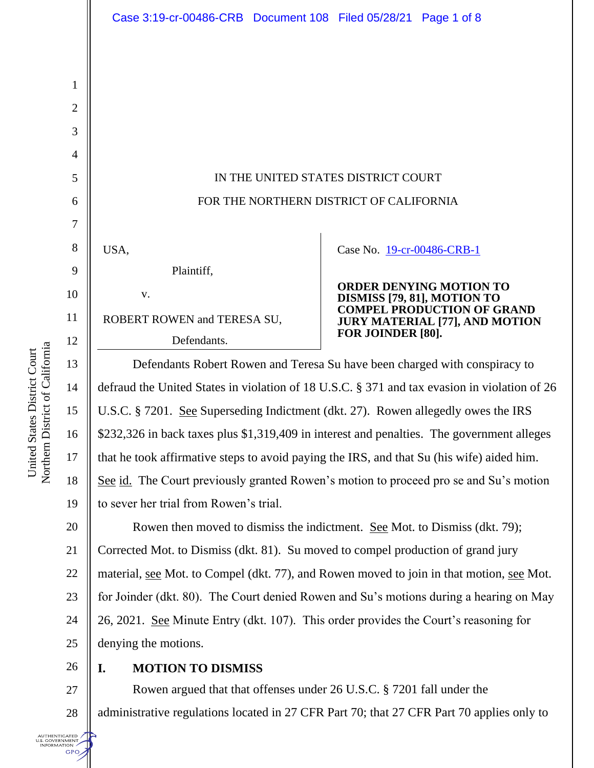|                   | Case 3:19-cr-00486-CRB Document 108 Filed 05/28/21 Page 1 of 8                                         |                                                                            |  |
|-------------------|--------------------------------------------------------------------------------------------------------|----------------------------------------------------------------------------|--|
|                   |                                                                                                        |                                                                            |  |
| $\mathbf{1}$      |                                                                                                        |                                                                            |  |
| $\mathbf{2}$      |                                                                                                        |                                                                            |  |
| 3                 |                                                                                                        |                                                                            |  |
| $\overline{4}$    |                                                                                                        |                                                                            |  |
| 5                 | IN THE UNITED STATES DISTRICT COURT                                                                    |                                                                            |  |
| 6                 | FOR THE NORTHERN DISTRICT OF CALIFORNIA                                                                |                                                                            |  |
| 7                 |                                                                                                        |                                                                            |  |
| 8                 | USA,                                                                                                   | Case No. 19-cr-00486-CRB-1                                                 |  |
| 9                 | Plaintiff,                                                                                             |                                                                            |  |
| 10                | V.                                                                                                     | <b>ORDER DENYING MOTION TO</b><br>DISMISS [79, 81], MOTION TO              |  |
| 11                | ROBERT ROWEN and TERESA SU,                                                                            | <b>COMPEL PRODUCTION OF GRAND</b><br><b>JURY MATERIAL [77], AND MOTION</b> |  |
| 12                | Defendants.                                                                                            | FOR JOINDER [80].                                                          |  |
| 13                | Defendants Robert Rowen and Teresa Su have been charged with conspiracy to                             |                                                                            |  |
| 14                | defraud the United States in violation of 18 U.S.C. § 371 and tax evasion in violation of 26           |                                                                            |  |
| 15                | U.S.C. § 7201. See Superseding Indictment (dkt. 27). Rowen allegedly owes the IRS                      |                                                                            |  |
| 16                | \$232,326 in back taxes plus \$1,319,409 in interest and penalties. The government alleges             |                                                                            |  |
| 17                | that he took affirmative steps to avoid paying the IRS, and that Su (his wife) aided him.              |                                                                            |  |
| 18                | See id. The Court previously granted Rowen's motion to proceed pro se and Su's motion                  |                                                                            |  |
| 19                | to sever her trial from Rowen's trial.                                                                 |                                                                            |  |
| 20                | Rowen then moved to dismiss the indictment. See Mot. to Dismiss (dkt. 79);                             |                                                                            |  |
| 21                | Corrected Mot. to Dismiss (dkt. 81). Su moved to compel production of grand jury                       |                                                                            |  |
| 22                | material, <u>see</u> Mot. to Compel (dkt. 77), and Rowen moved to join in that motion, <u>see</u> Mot. |                                                                            |  |
| $23\,$            | for Joinder (dkt. 80). The Court denied Rowen and Su's motions during a hearing on May                 |                                                                            |  |
| 24                | 26, 2021. See Minute Entry (dkt. 107). This order provides the Court's reasoning for                   |                                                                            |  |
| 25                | denying the motions.                                                                                   |                                                                            |  |
| 26                | <b>MOTION TO DISMISS</b><br>I.                                                                         |                                                                            |  |
| 27                | Rowen argued that that offenses under 26 U.S.C. § 7201 fall under the                                  |                                                                            |  |
| 28                | administrative regulations located in 27 CFR Part 70; that 27 CFR Part 70 applies only to              |                                                                            |  |
| ticated<br>RNMENT |                                                                                                        |                                                                            |  |

United States District Court<br>Northern District of California Northern District of California United States District Court

authenticated<br>u.s. government<br>information<br>GPO

T.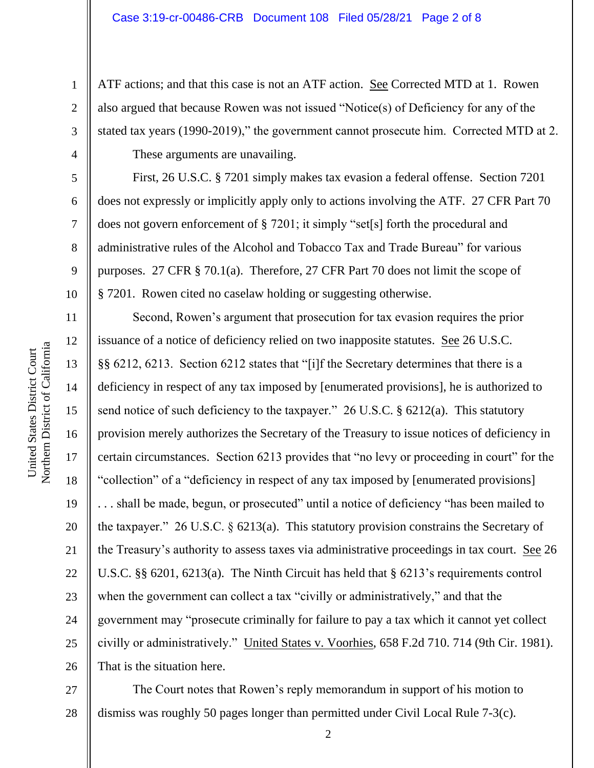ATF actions; and that this case is not an ATF action. <u>See</u> Corrected MTD at 1. Rowen also argued that because Rowen was not issued "Notice(s) of Deficiency for any of the stated tax years (1990-2019)," the government cannot prosecute him. Corrected MTD at 2.

These arguments are unavailing.

First, 26 U.S.C. § 7201 simply makes tax evasion a federal offense. Section 7201 does not expressly or implicitly apply only to actions involving the ATF. 27 CFR Part 70 does not govern enforcement of § 7201; it simply "set[s] forth the procedural and administrative rules of the Alcohol and Tobacco Tax and Trade Bureau" for various purposes. 27 CFR § 70.1(a). Therefore, 27 CFR Part 70 does not limit the scope of § 7201. Rowen cited no caselaw holding or suggesting otherwise.

Second, Rowen's argument that prosecution for tax evasion requires the prior issuance of a notice of deficiency relied on two inapposite statutes. See 26 U.S.C. §§ 6212, 6213. Section 6212 states that "[i]f the Secretary determines that there is a deficiency in respect of any tax imposed by [enumerated provisions], he is authorized to send notice of such deficiency to the taxpayer." 26 U.S.C. § 6212(a). This statutory provision merely authorizes the Secretary of the Treasury to issue notices of deficiency in certain circumstances. Section 6213 provides that "no levy or proceeding in court" for the "collection" of a "deficiency in respect of any tax imposed by [enumerated provisions] . . . shall be made, begun, or prosecuted" until a notice of deficiency "has been mailed to the taxpayer." 26 U.S.C. § 6213(a). This statutory provision constrains the Secretary of the Treasury's authority to assess taxes via administrative proceedings in tax court. See 26 U.S.C. §§ 6201, 6213(a). The Ninth Circuit has held that § 6213's requirements control when the government can collect a tax "civilly or administratively," and that the government may "prosecute criminally for failure to pay a tax which it cannot yet collect civilly or administratively." United States v. Voorhies, 658 F.2d 710. 714 (9th Cir. 1981). That is the situation here.

27 28 The Court notes that Rowen's reply memorandum in support of his motion to dismiss was roughly 50 pages longer than permitted under Civil Local Rule 7-3(c).

1

2

3

4

5

6

7

8

9

10

11

12

13

14

15

16

17

18

19

20

21

22

23

24

25

26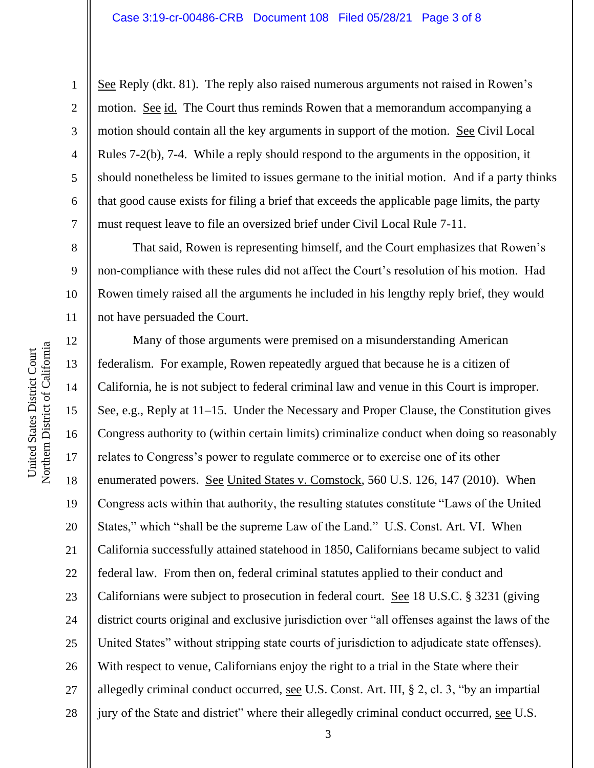### Case 3:19-cr-00486-CRB Document 108 Filed 05/28/21 Page 3 of 8

See Reply (dkt. 81). The reply also raised numerous arguments not raised in Rowen's motion. See id. The Court thus reminds Rowen that a memorandum accompanying a motion should contain all the key arguments in support of the motion. <u>See</u> Civil Local Rules 7-2(b), 7-4. While a reply should respond to the arguments in the opposition, it should nonetheless be limited to issues germane to the initial motion. And if a party thinks that good cause exists for filing a brief that exceeds the applicable page limits, the party must request leave to file an oversized brief under Civil Local Rule 7-11.

That said, Rowen is representing himself, and the Court emphasizes that Rowen's non-compliance with these rules did not affect the Court's resolution of his motion. Had Rowen timely raised all the arguments he included in his lengthy reply brief, they would not have persuaded the Court.

12 13 14 15 16 17 18 19 20 21 22 23 24 25 26 27 28 Many of those arguments were premised on a misunderstanding American federalism. For example, Rowen repeatedly argued that because he is a citizen of California, he is not subject to federal criminal law and venue in this Court is improper. See, e.g., Reply at 11–15. Under the Necessary and Proper Clause, the Constitution gives Congress authority to (within certain limits) criminalize conduct when doing so reasonably relates to Congress's power to regulate commerce or to exercise one of its other enumerated powers. See United States v. Comstock, 560 U.S. 126, 147 (2010). When Congress acts within that authority, the resulting statutes constitute "Laws of the United States," which "shall be the supreme Law of the Land." U.S. Const. Art. VI. When California successfully attained statehood in 1850, Californians became subject to valid federal law. From then on, federal criminal statutes applied to their conduct and Californians were subject to prosecution in federal court. See 18 U.S.C. § 3231 (giving district courts original and exclusive jurisdiction over "all offenses against the laws of the United States" without stripping state courts of jurisdiction to adjudicate state offenses). With respect to venue, Californians enjoy the right to a trial in the State where their allegedly criminal conduct occurred, see U.S. Const. Art. III, § 2, cl. 3, "by an impartial jury of the State and district" where their allegedly criminal conduct occurred, see U.S.

1

2

3

4

5

6

7

8

9

10

11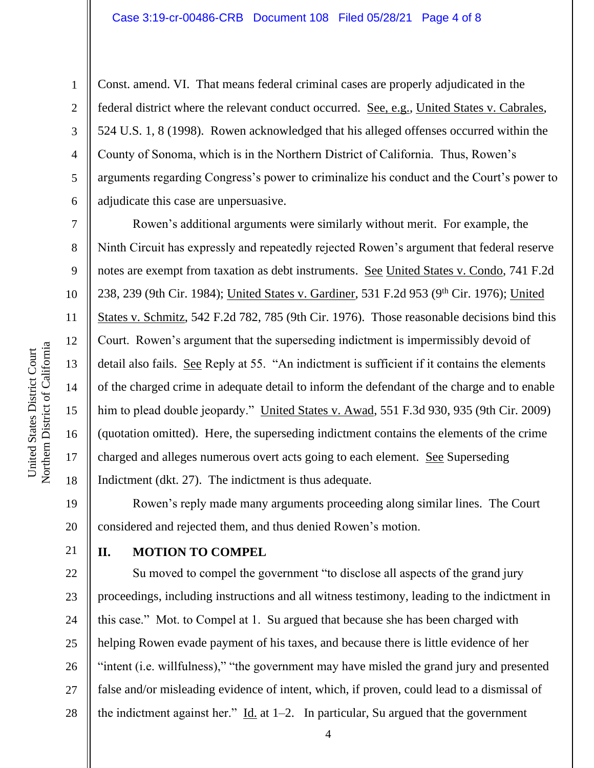### Case 3:19-cr-00486-CRB Document 108 Filed 05/28/21 Page 4 of 8

Const. amend. VI. That means federal criminal cases are properly adjudicated in the federal district where the relevant conduct occurred. See, e.g., United States v. Cabrales, 524 U.S. 1, 8 (1998). Rowen acknowledged that his alleged offenses occurred within the County of Sonoma, which is in the Northern District of California. Thus, Rowen's arguments regarding Congress's power to criminalize his conduct and the Court's power to adjudicate this case are unpersuasive.

Rowen's additional arguments were similarly without merit. For example, the Ninth Circuit has expressly and repeatedly rejected Rowen's argument that federal reserve notes are exempt from taxation as debt instruments. See United States v. Condo, 741 F.2d 238, 239 (9th Cir. 1984); United States v. Gardiner, 531 F.2d 953 (9<sup>th</sup> Cir. 1976); United States v. Schmitz, 542 F.2d 782, 785 (9th Cir. 1976). Those reasonable decisions bind this Court. Rowen's argument that the superseding indictment is impermissibly devoid of detail also fails. See Reply at 55. "An indictment is sufficient if it contains the elements of the charged crime in adequate detail to inform the defendant of the charge and to enable him to plead double jeopardy." United States v. Awad, 551 F.3d 930, 935 (9th Cir. 2009) (quotation omitted). Here, the superseding indictment contains the elements of the crime charged and alleges numerous overt acts going to each element. See Superseding Indictment (dkt. 27). The indictment is thus adequate.

Rowen's reply made many arguments proceeding along similar lines. The Court considered and rejected them, and thus denied Rowen's motion.

21

# **II. MOTION TO COMPEL**

22 23 24 25 26 27 28 Su moved to compel the government "to disclose all aspects of the grand jury proceedings, including instructions and all witness testimony, leading to the indictment in this case." Mot. to Compel at 1. Su argued that because she has been charged with helping Rowen evade payment of his taxes, and because there is little evidence of her "intent (i.e. willfulness)," "the government may have misled the grand jury and presented false and/or misleading evidence of intent, which, if proven, could lead to a dismissal of the indictment against her." Id. at  $1-2$ . In particular, Su argued that the government

1

2

3

4

5

6

7

8

9

10

11

12

13

14

15

16

17

18

19

20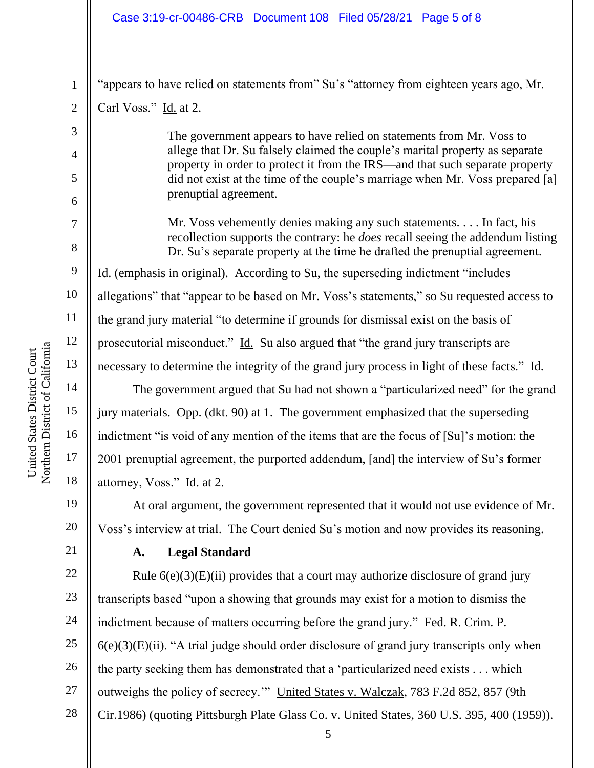## Case 3:19-cr-00486-CRB Document 108 Filed 05/28/21 Page 5 of 8

"appears to have relied on statements from" Su's "attorney from eighteen years ago, Mr.

Carl Voss." Id. at 2.

1

2

3

4

5

6

7

8

9

10

11

12

13

14

15

16

17

18

19

20

The government appears to have relied on statements from Mr. Voss to allege that Dr. Su falsely claimed the couple's marital property as separate property in order to protect it from the IRS—and that such separate property did not exist at the time of the couple's marriage when Mr. Voss prepared [a] prenuptial agreement.

Mr. Voss vehemently denies making any such statements. . . . In fact, his recollection supports the contrary: he *does* recall seeing the addendum listing Dr. Su's separate property at the time he drafted the prenuptial agreement. Id. (emphasis in original). According to Su, the superseding indictment "includes allegations" that "appear to be based on Mr. Voss's statements," so Su requested access to the grand jury material "to determine if grounds for dismissal exist on the basis of prosecutorial misconduct." Id. Su also argued that "the grand jury transcripts are necessary to determine the integrity of the grand jury process in light of these facts." Id.

The government argued that Su had not shown a "particularized need" for the grand jury materials. Opp. (dkt. 90) at 1. The government emphasized that the superseding indictment "is void of any mention of the items that are the focus of [Su]'s motion: the 2001 prenuptial agreement, the purported addendum, [and] the interview of Su's former attorney, Voss." Id. at 2.

At oral argument, the government represented that it would not use evidence of Mr. Voss's interview at trial. The Court denied Su's motion and now provides its reasoning.

21

# **A. Legal Standard**

22 23 24 25 26 27 28 Rule  $6(e)(3)(E)(ii)$  provides that a court may authorize disclosure of grand jury transcripts based "upon a showing that grounds may exist for a motion to dismiss the indictment because of matters occurring before the grand jury." Fed. R. Crim. P.  $6(e)(3)(E)(ii)$ . "A trial judge should order disclosure of grand jury transcripts only when the party seeking them has demonstrated that a 'particularized need exists . . . which outweighs the policy of secrecy.'" United States v. Walczak, 783 F.2d 852, 857 (9th Cir.1986) (quoting Pittsburgh Plate Glass Co. v. United States, 360 U.S. 395, 400 (1959)).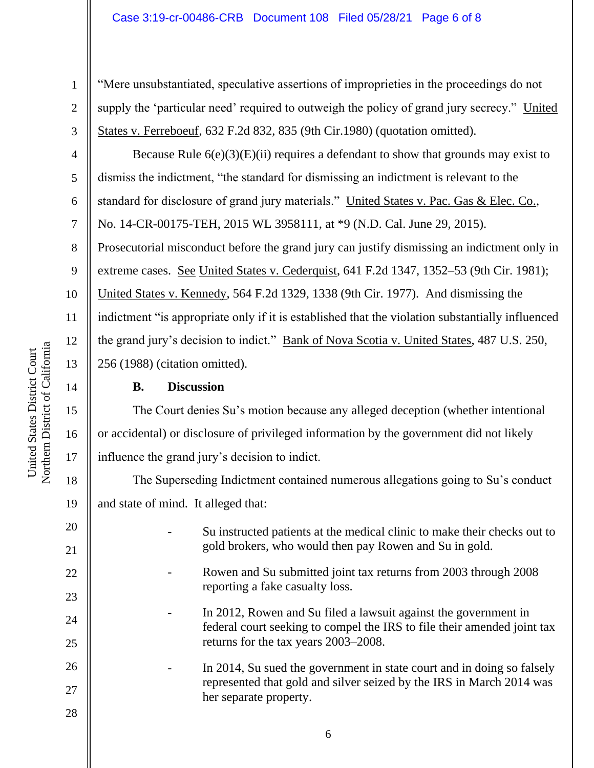"Mere unsubstantiated, speculative assertions of improprieties in the proceedings do not supply the 'particular need' required to outweigh the policy of grand jury secrecy." United States v. Ferreboeuf, 632 F.2d 832, 835 (9th Cir.1980) (quotation omitted).

Because Rule  $6(e)(3)(E)(ii)$  requires a defendant to show that grounds may exist to dismiss the indictment, "the standard for dismissing an indictment is relevant to the standard for disclosure of grand jury materials." United States v. Pac. Gas & Elec. Co., No. 14-CR-00175-TEH, 2015 WL 3958111, at \*9 (N.D. Cal. June 29, 2015).

Prosecutorial misconduct before the grand jury can justify dismissing an indictment only in

9 extreme cases. See United States v. Cederquist, 641 F.2d 1347, 1352–53 (9th Cir. 1981);

10 United States v. Kennedy, 564 F.2d 1329, 1338 (9th Cir. 1977). And dismissing the

indictment "is appropriate only if it is established that the violation substantially influenced the grand jury's decision to indict." Bank of Nova Scotia v. United States, 487 U.S. 250,

256 (1988) (citation omitted).

# **B. Discussion**

The Court denies Su's motion because any alleged deception (whether intentional or accidental) or disclosure of privileged information by the government did not likely influence the grand jury's decision to indict.

The Superseding Indictment contained numerous allegations going to Su's conduct and state of mind. It alleged that:

- Su instructed patients at the medical clinic to make their checks out to gold brokers, who would then pay Rowen and Su in gold.
	- Rowen and Su submitted joint tax returns from 2003 through 2008 reporting a fake casualty loss.
	- In 2012, Rowen and Su filed a lawsuit against the government in federal court seeking to compel the IRS to file their amended joint tax returns for the tax years 2003–2008.
- 26 27 - In 2014, Su sued the government in state court and in doing so falsely represented that gold and silver seized by the IRS in March 2014 was her separate property.
- 28

1

2

3

4

5

6

7

8

11

12

13

14

15

16

17

18

19

20

21

22

23

24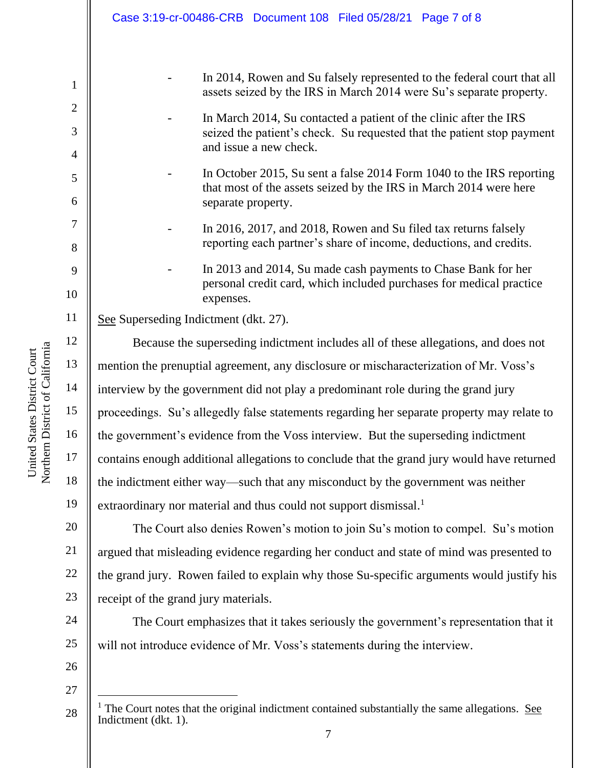|                                     | Case 3:19-cr-00486-CRB Document 108 Filed 05/28/21 Page 7 of 8                                                                                                        |  |
|-------------------------------------|-----------------------------------------------------------------------------------------------------------------------------------------------------------------------|--|
|                                     |                                                                                                                                                                       |  |
| $\mathbf{1}$                        | In 2014, Rowen and Su falsely represented to the federal court that all<br>assets seized by the IRS in March 2014 were Su's separate property.                        |  |
| $\mathbf{2}$<br>3<br>$\overline{4}$ | In March 2014, Su contacted a patient of the clinic after the IRS<br>seized the patient's check. Su requested that the patient stop payment<br>and issue a new check. |  |
| 5<br>6                              | In October 2015, Su sent a false 2014 Form 1040 to the IRS reporting<br>that most of the assets seized by the IRS in March 2014 were here<br>separate property.       |  |
| 7<br>8                              | In 2016, 2017, and 2018, Rowen and Su filed tax returns falsely<br>reporting each partner's share of income, deductions, and credits.                                 |  |
| 9<br>10                             | In 2013 and 2014, Su made cash payments to Chase Bank for her<br>personal credit card, which included purchases for medical practice<br>expenses.                     |  |
| 11                                  | See Superseding Indictment (dkt. 27).                                                                                                                                 |  |
| 12                                  | Because the superseding indictment includes all of these allegations, and does not                                                                                    |  |
| 13                                  | mention the prenuptial agreement, any disclosure or mischaracterization of Mr. Voss's                                                                                 |  |
| 14                                  | interview by the government did not play a predominant role during the grand jury                                                                                     |  |
| 15                                  | proceedings. Su's allegedly false statements regarding her separate property may relate to                                                                            |  |
| 16                                  | the government's evidence from the Voss interview. But the superseding indictment                                                                                     |  |
| 17                                  | contains enough additional allegations to conclude that the grand jury would have returned                                                                            |  |
| 18                                  | the indictment either way—such that any misconduct by the government was neither                                                                                      |  |
| 19                                  | extraordinary nor material and thus could not support dismissal. <sup>1</sup>                                                                                         |  |
| 20                                  | The Court also denies Rowen's motion to join Su's motion to compel. Su's motion                                                                                       |  |
| 21                                  | argued that misleading evidence regarding her conduct and state of mind was presented to                                                                              |  |
| 22                                  | the grand jury. Rowen failed to explain why those Su-specific arguments would justify his                                                                             |  |
| 23                                  | receipt of the grand jury materials.                                                                                                                                  |  |
| 24                                  | The Court emphasizes that it takes seriously the government's representation that it                                                                                  |  |
| 25                                  | will not introduce evidence of Mr. Voss's statements during the interview.                                                                                            |  |

<sup>28</sup>  $<sup>1</sup>$  The Court notes that the original indictment contained substantially the same allegations. See</sup> Indictment (dkt. 1).